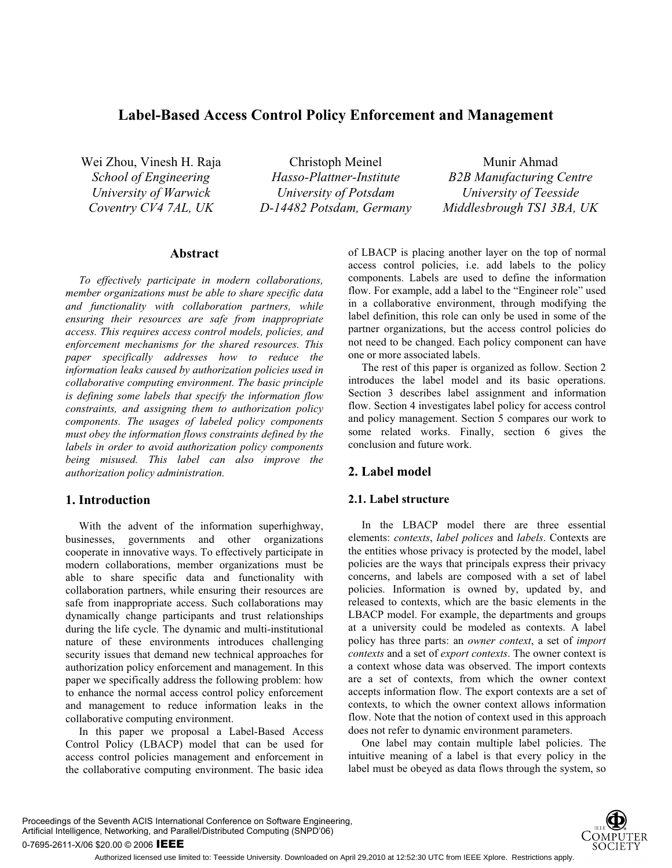# **Label-Based Access Control Policy Enforcement and Management**

Wei Zhou, Vinesh H. Raja *School of Engineering University of Warwick Coventry CV4 7AL, UK* 

Christoph Meinel *Hasso-Plattner-Institute University of Potsdam D-14482 Potsdam, Germany* 

Munir Ahmad *B2B Manufacturing Centre University of Teesside Middlesbrough TS1 3BA, UK* 

### **Abstract**

*To effectively participate in modern collaborations, member organizations must be able to share specific data and functionality with collaboration partners, while ensuring their resources are safe from inappropriate access. This requires access control models, policies, and enforcement mechanisms for the shared resources. This paper specifically addresses how to reduce the information leaks caused by authorization policies used in collaborative computing environment. The basic principle is defining some labels that specify the information flow constraints, and assigning them to authorization policy components. The usages of labeled policy components must obey the information flows constraints defined by the labels in order to avoid authorization policy components being misused. This label can also improve the authorization policy administration.* 

## **1. Introduction**

With the advent of the information superhighway, businesses, governments and other organizations cooperate in innovative ways. To effectively participate in modern collaborations, member organizations must be able to share specific data and functionality with collaboration partners, while ensuring their resources are safe from inappropriate access. Such collaborations may dynamically change participants and trust relationships during the life cycle. The dynamic and multi-institutional nature of these environments introduces challenging security issues that demand new technical approaches for authorization policy enforcement and management. In this paper we specifically address the following problem: how to enhance the normal access control policy enforcement and management to reduce information leaks in the collaborative computing environment.

In this paper we proposal a Label-Based Access Control Policy (LBACP) model that can be used for access control policies management and enforcement in the collaborative computing environment. The basic idea of LBACP is placing another layer on the top of normal access control policies, i.e. add labels to the policy components. Labels are used to define the information flow. For example, add a label to the "Engineer role" used in a collaborative environment, through modifying the label definition, this role can only be used in some of the partner organizations, but the access control policies do not need to be changed. Each policy component can have one or more associated labels.

The rest of this paper is organized as follow. Section 2 introduces the label model and its basic operations. Section 3 describes label assignment and information flow. Section 4 investigates label policy for access control and policy management. Section 5 compares our work to some related works. Finally, section 6 gives the conclusion and future work.

## **2. Label model**

## **2.1. Label structure**

In the LBACP model there are three essential elements: *contexts*, *label polices* and *labels*. Contexts are the entities whose privacy is protected by the model, label policies are the ways that principals express their privacy concerns, and labels are composed with a set of label policies. Information is owned by, updated by, and released to contexts, which are the basic elements in the LBACP model. For example, the departments and groups at a university could be modeled as contexts. A label policy has three parts: an *owner context*, a set of *import contexts* and a set of *export contexts*. The owner context is a context whose data was observed. The import contexts are a set of contexts, from which the owner context accepts information flow. The export contexts are a set of contexts, to which the owner context allows information flow. Note that the notion of context used in this approach does not refer to dynamic environment parameters.

One label may contain multiple label policies. The intuitive meaning of a label is that every policy in the label must be obeyed as data flows through the system, so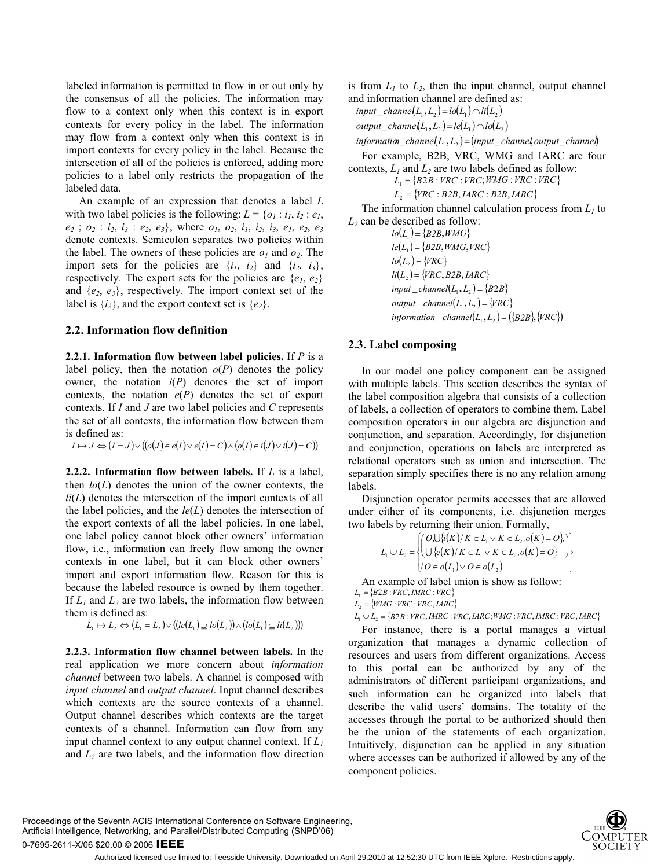labeled information is permitted to flow in or out only by the consensus of all the policies. The information may flow to a context only when this context is in export contexts for every policy in the label. The information may flow from a context only when this context is in import contexts for every policy in the label. Because the intersection of all of the policies is enforced, adding more policies to a label only restricts the propagation of the labeled data.

An example of an expression that denotes a label *L* with two label policies is the following:  $L = \{o_1 : i_1, i_2 : e_1,$ *e2* ; *o2* : *i2*, *i3* : *e2*, *e3*}, where *o1*, *o2*, *i1*, *i2*, *i3*, *e1*, *e2*, *e3* denote contexts. Semicolon separates two policies within the label. The owners of these policies are  $o_1$  and  $o_2$ . The import sets for the policies are  $\{i_1, i_2\}$  and  $\{i_2, i_3\}$ , respectively. The export sets for the policies are  $\{e_1, e_2\}$ and  $\{e_2, e_3\}$ , respectively. The import context set of the label is  $\{i_2\}$ , and the export context set is  $\{e_2\}$ .

#### **2.2. Information flow definition**

**2.2.1. Information flow between label policies.** If *P* is a label policy, then the notation  $o(P)$  denotes the policy owner, the notation  $i(P)$  denotes the set of import contexts, the notation  $e(P)$  denotes the set of export contexts. If *I* and *J* are two label policies and *C* represents the set of all contexts, the information flow between them is defined as:

 $I \mapsto J \Leftrightarrow (I = J) \vee ((o(J) \in e(I) \vee e(I) = C) \wedge (o(I) \in i(J) \vee i(J) = C))$ 

**2.2.2. Information flow between labels.** If *L* is a label, then *lo*(*L*) denotes the union of the owner contexts, the  $li(L)$  denotes the intersection of the import contexts of all the label policies, and the *le*(*L*) denotes the intersection of the export contexts of all the label policies. In one label, one label policy cannot block other owners' information flow, i.e., information can freely flow among the owner contexts in one label, but it can block other owners' import and export information flow. Reason for this is because the labeled resource is owned by them together. If  $L_1$  and  $L_2$  are two labels, the information flow between them is defined as:

$$
L_1 \mapsto L_2 \Leftrightarrow (L_1 = L_2) \vee ((le(L_1) \supseteq lo(L_2)) \wedge (lo(L_1) \subseteq li(L_2)))
$$

**2.2.3. Information flow channel between labels.** In the real application we more concern about *information channel* between two labels. A channel is composed with *input channel* and *output channel*. Input channel describes which contexts are the source contexts of a channel. Output channel describes which contexts are the target contexts of a channel. Information can flow from any input channel context to any output channel context. If *L1* and  $L_2$  are two labels, and the information flow direction

is from  $L_1$  to  $L_2$ , then the input channel, output channel and information channel are defined as:

 $input\_channel(L_1, L_2)=$   $lo(L_1) \cap li(L_2)$ 

 $output\_channel(L_1, L_2)=le(L_1)\cap lo(L_2)$ 

 $\textit{information\_channel}(L_1, L_2) = (\textit{input\_channel}.\textit{output\_channel})$ 

For example, B2B, VRC, WMG and IARC are four contexts,  $L_1$  and  $L_2$  are two labels defined as follow:

 $L_{\text{\tiny{l}}} = \{ B2B : VRC : VRC ; WMG : VRC : VRC \}$ 

 $L_2 = \langle VRC : B2B, IARC : B2B, IARC \rangle$ 

The information channel calculation process from  $L_1$  to *L*<sub>2</sub> can be described as follow:

> $lo(L_1) = \{B2B, WMG\}$  $le(L_1) = \{B2B, WMG, VRC\}$  $lo(L_2) = \{VRC\}$  $li(L_2) = \{VRC, B2B, IARC\}$  $input\_channel(L_1, L_2) = \{B2B\}$  $output\_channel(L_1, L_2) = \{VRC\}$  $\inf$ ormation  $\sup$   $\sup$   $\mathcal{L}_n(L_1, L_2) = (\{B2B\}, \{VRC\})$

#### **2.3. Label composing**

In our model one policy component can be assigned with multiple labels. This section describes the syntax of the label composition algebra that consists of a collection of labels, a collection of operators to combine them. Label composition operators in our algebra are disjunction and conjunction, and separation. Accordingly, for disjunction and conjunction, operations on labels are interpreted as relational operators such as union and intersection. The separation simply specifies there is no any relation among labels.

Disjunction operator permits accesses that are allowed under either of its components, i.e. disjunction merges two labels by returning their union. Formally,

$$
L_1 \cup L_2 = \left\{ \begin{pmatrix} O \cup \{i(K)/K \in L_1 \vee K \in L_2, o(K) = O\} \\ \bigcup \{e(K)/K \in L_1 \vee K \in L_2, o(K) = O\} \\ O \in o(L_1) \vee O \in o(L_2) \end{pmatrix} \right\}
$$

An example of label union is show as follow:

 $L_1 = \{B2B: VRC, IMRC: VRC\}$ 

 $L_2 = \{WMG: VRC: VRC, IARC\}$ 

 $L_1 \cup L_2 = \{B2B : VRC, IMRC : VRC, IARC; WMG: VRC, IMRC: VRC, IARC\}$ 

For instance, there is a portal manages a virtual organization that manages a dynamic collection of resources and users from different organizations. Access to this portal can be authorized by any of the administrators of different participant organizations, and such information can be organized into labels that describe the valid users' domains. The totality of the accesses through the portal to be authorized should then be the union of the statements of each organization. Intuitively, disjunction can be applied in any situation where accesses can be authorized if allowed by any of the component policies.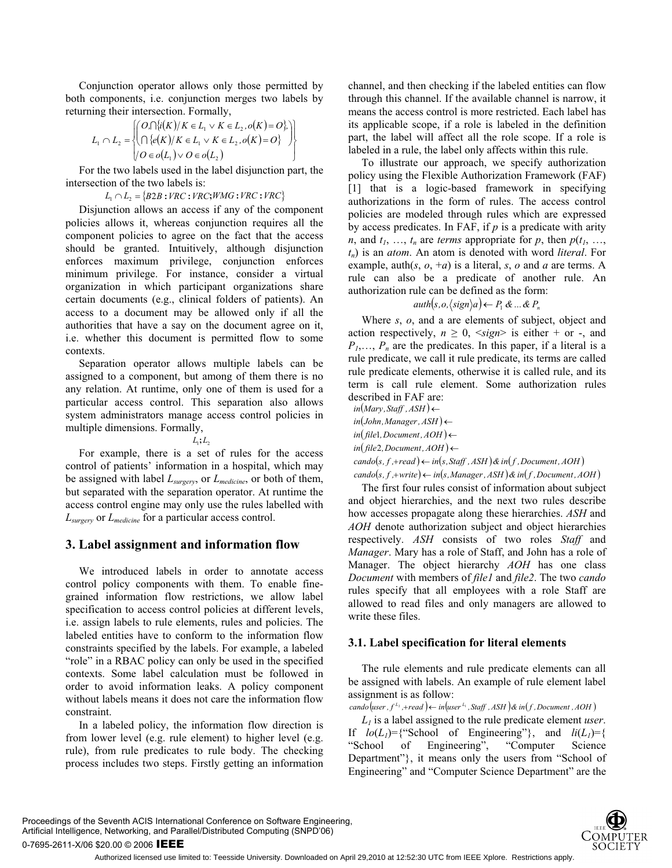Conjunction operator allows only those permitted by both components, i.e. conjunction merges two labels by returning their intersection. Formally,

$$
L_1 \cap L_2 = \left\{ \left( \bigcap \left\{ \frac{e(K)}{K \in L_1 \vee K \in L_2, o(K) = O \right\} \right) \middle| \right\}
$$
  

$$
L_1 \cap L_2 = \left\{ \bigcap \left\{ \frac{e(K)}{K \in L_1 \vee K \in L_2, o(K) = O \right\} \right\}
$$
  

$$
O \in o(L_1) \vee O \in o(L_2)
$$

For the two labels used in the label disjunction part, the intersection of the two labels is:

 $L_1 \cap L_2 = \{B2B: VRC: VRC; WMG: VRC: VRC\}$ 

Disjunction allows an access if any of the component policies allows it, whereas conjunction requires all the component policies to agree on the fact that the access should be granted. Intuitively, although disjunction enforces maximum privilege, conjunction enforces minimum privilege. For instance, consider a virtual organization in which participant organizations share certain documents (e.g., clinical folders of patients). An access to a document may be allowed only if all the authorities that have a say on the document agree on it, i.e. whether this document is permitted flow to some contexts.

Separation operator allows multiple labels can be assigned to a component, but among of them there is no any relation. At runtime, only one of them is used for a particular access control. This separation also allows system administrators manage access control policies in multiple dimensions. Formally,

### $L_1$ ; $L_2$

For example, there is a set of rules for the access control of patients' information in a hospital, which may be assigned with label *L surgery*, or *Lmedicine*, or both of them, but separated with the separation operator. At runtime the access control engine may only use the rules labelled with *Lsurgery* or *Lmedicine* for a particular access control.

### **3. Label assignment and information flow**

We introduced labels in order to annotate access control policy components with them. To enable finegrained information flow restrictions, we allow label specification to access control policies at different levels, i.e. assign labels to rule elements, rules and policies. The labeled entities have to conform to the information flow constraints specified by the labels. For example, a labeled "role" in a RBAC policy can only be used in the specified contexts. Some label calculation must be followed in order to avoid information leaks. A policy component without labels means it does not care the information flow constraint.

In a labeled policy, the information flow direction is from lower level (e.g. rule element) to higher level (e.g. rule), from rule predicates to rule body. The checking process includes two steps. Firstly getting an information channel, and then checking if the labeled entities can flow through this channel. If the available channel is narrow, it means the access control is more restricted. Each label has its applicable scope, if a role is labeled in the definition part, the label will affect all the role scope. If a role is labeled in a rule, the label only affects within this rule.

To illustrate our approach, we specify authorization policy using the Flexible Authorization Framework (FAF) [1] that is a logic-based framework in specifying authorizations in the form of rules. The access control policies are modeled through rules which are expressed by access predicates. In FAF, if *p* is a predicate with arity *n*, and  $t_1$ , …,  $t_n$  are *terms* appropriate for *p*, then  $p(t_1, \ldots, t_n)$ *tn*) is an *atom*. An atom is denoted with word *literal*. For example, auth $(s, o, +a)$  is a literal, *s*, *o* and *a* are terms. A rule can also be a predicate of another rule. An authorization rule can be defined as the form:

$$
auth(s, o, \langle sign \rangle a) \leftarrow P_1 \& \dots \& P_n
$$

Where *s*, *o*, and a are elements of subject, object and action respectively,  $n \geq 0$ ,  $\langle \text{sign} \rangle$  is either + or -, and  $P_1, \ldots, P_n$  are the predicates. In this paper, if a literal is a rule predicate, we call it rule predicate, its terms are called rule predicate elements, otherwise it is called rule, and its term is call rule element. Some authorization rules described in FAF are:

 $in(Mary, Staff, ASH) \leftarrow$ 

 $\mathit{in}(John,Manager,ASH) \leftarrow$ 

*in*(file1, Document, AOH) ←  $\mathit{in}(\mathit{file2},Document,AOH) \leftarrow$ 

 $\textit{cando}(s, f, + \textit{read}) \leftarrow \textit{in}(s, \textit{Staff}, \textit{ASH}) \& \textit{in}(f, \textit{Document}, \textit{AOH})$ 

 $\mathit{cando}(s, f, +\textit{write}) \leftarrow \mathit{in}(s, \textit{Manager}, \textit{ASH}) \& \mathit{in}(f, \textit{Document}, \textit{AOH})$ 

The first four rules consist of information about subject and object hierarchies, and the next two rules describe how accesses propagate along these hierarchies. *ASH* and *AOH* denote authorization subject and object hierarchies respectively. *ASH* consists of two roles *Staff* and *Manager*. Mary has a role of Staff, and John has a role of Manager. The object hierarchy *AOH* has one class *Document* with members of *file1* and *file2*. The two *cando* rules specify that all employees with a role Staff are allowed to read files and only managers are allowed to write these files.

## **3.1. Label specification for literal elements**

The rule elements and rule predicate elements can all be assigned with labels. An example of rule element label assignment is as follow:

*cando* (*user*,  $f^{L_2}$ , + *read* )  $\leftarrow$  *in*(*user*<sup> $L_1$ </sup>, *Staff*, *ASH* ) & *in*(*f*, *Document*, *AOH*)

*L1* is a label assigned to the rule predicate element *user*. If  $lo(L_i)$ ={"School of Engineering"}, and  $li(L_i)$ ={"School of Engineering", "Computer Science" Engineering", "Computer Science Department"}, it means only the users from "School of Engineering" and "Computer Science Department" are the

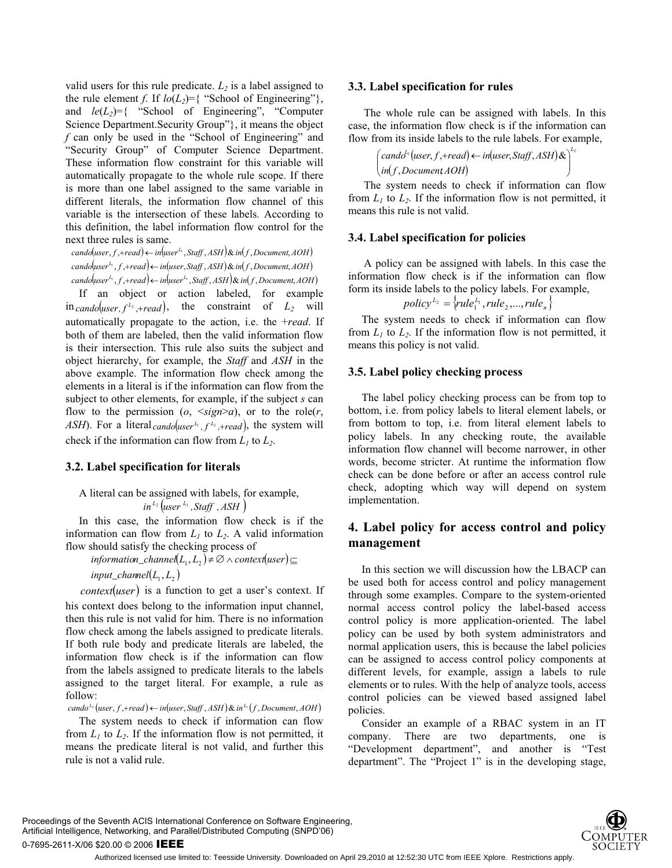valid users for this rule predicate.  $L_2$  is a label assigned to the rule element *f*. If  $lo(L_2) = \{$  "School of Engineering"}, and  $le(L_2)=\{$  "School of Engineering", "Computer Science Department.Security Group"}, it means the object *f* can only be used in the "School of Engineering" and "Security Group" of Computer Science Department. These information flow constraint for this variable will automatically propagate to the whole rule scope. If there is more than one label assigned to the same variable in different literals, the information flow channel of this variable is the intersection of these labels. According to this definition, the label information flow control for the next three rules is same.

 $\mathit{c}$ ando $(\mathit{user}, f, + \mathit{read})$   $\leftarrow$  in $(\mathit{user}^{\scriptscriptstyle L_i}, \mathit{Staff}, \mathit{ASH})$  & in $(f, \mathit{Document}, \mathit{AOH})$  $\mathit{c}$ ando $(\mathit{user}^{L_1}, f, + \mathit{read})$ ← in $(\mathit{user}, \mathit{Staff}, \mathit{ASH})$ & in $(f, \mathit{Document}, \mathit{AOH})$ cando(user<sup>1,</sup> , f ,+read)← in(user<sup>1,</sup> ,Staff , ASH)& in( f , Document, AOH)

If an object or action labeled, for example  $\text{in } \frac{1}{\text{cand}}$  (*user,*  $f^{L_2}$ , +read), the constraint of  $L_2$  will automatically propagate to the action, i.e. the +*read*. If both of them are labeled, then the valid information flow is their intersection. This rule also suits the subject and object hierarchy, for example, the *Staff* and *ASH* in the above example. The information flow check among the elements in a literal is if the information can flow from the subject to other elements, for example, if the subject *s* can flow to the permission  $(o, \leq sign>a)$ , or to the role(*r*, *ASH*). For a literal  $_{cando}$  (*user*<sup>L<sub>1</sub></sup>,  $f<sup>L_2</sup>$ , +*read*), the system will check if the information can flow from  $L_1$  to  $L_2$ .

### **3.2. Label specification for literals**

## A literal can be assigned with labels, for example,  $\int \ln^{L_2} \left( \text{user}^{L_1}, \text{Staff}, \text{ASH} \right)$

In this case, the information flow check is if the information can flow from  $L_1$  to  $L_2$ . A valid information flow should satisfy the checking process of

information\_channel $(L_{_1},L_{_2})\neq\varnothing\wedge context(user)$   $\subseteq$ 

 $input\_channel(L_1,L_2)$ 

 $context(user)$  is a function to get a user's context. If

his context does belong to the information input channel, then this rule is not valid for him. There is no information flow check among the labels assigned to predicate literals. If both rule body and predicate literals are labeled, the information flow check is if the information can flow from the labels assigned to predicate literals to the labels assigned to the target literal. For example, a rule as follow:

 $\mathit{cando}^{\mathit{L}_2}\bigl(\mathit{user},f,+\mathit{read}\bigl)\!\leftarrow\! \mathit{in} \bigl(\mathit{user},\mathit{Staff},\mathit{ASH}\bigr)\allowbreak\&\mathit{in}^{\mathit{L}_1}\bigl(f,\mathit{Document},\mathit{AOH}\bigr)$ 

The system needs to check if information can flow from  $L_1$  to  $L_2$ . If the information flow is not permitted, it means the predicate literal is not valid, and further this rule is not a valid rule.

#### **3.3. Label specification for rules**

The whole rule can be assigned with labels. In this case, the information flow check is if the information can flow from its inside labels to the rule labels. For example,

$$
\left(\begin{matrix}c \text{and} \text{d}^L(\text{user}, f, + \text{read}) & \leftarrow \text{in}(\text{user}, \text{Staff}, \text{ASH}) \& \\ \text{in}(\text{f}, \text{Document}, \text{AOH})\end{matrix}\right)^{L_2}
$$

The system needs to check if information can flow from  $L_1$  to  $L_2$ . If the information flow is not permitted, it means this rule is not valid.

#### **3.4. Label specification for policies**

A policy can be assigned with labels. In this case the information flow check is if the information can flow form its inside labels to the policy labels. For example,

$$
policy^{L_2} = \{rule_1^L, rule_2^L, \ldots, rule_n\}
$$

The system needs to check if information can flow from  $L_1$  to  $L_2$ . If the information flow is not permitted, it means this policy is not valid.

#### **3.5. Label policy checking process**

The label policy checking process can be from top to bottom, i.e. from policy labels to literal element labels, or from bottom to top, i.e. from literal element labels to policy labels. In any checking route, the available information flow channel will become narrower, in other words, become stricter. At runtime the information flow check can be done before or after an access control rule check, adopting which way will depend on system implementation.

# **4. Label policy for access control and policy management**

In this section we will discussion how the LBACP can be used both for access control and policy management through some examples. Compare to the system-oriented normal access control policy the label-based access control policy is more application-oriented. The label policy can be used by both system administrators and normal application users, this is because the label policies can be assigned to access control policy components at different levels, for example, assign a labels to rule elements or to rules. With the help of analyze tools, access control policies can be viewed based assigned label policies.

Consider an example of a RBAC system in an IT company. There are two departments, one is "Development department", and another is "Test department". The "Project 1" is in the developing stage,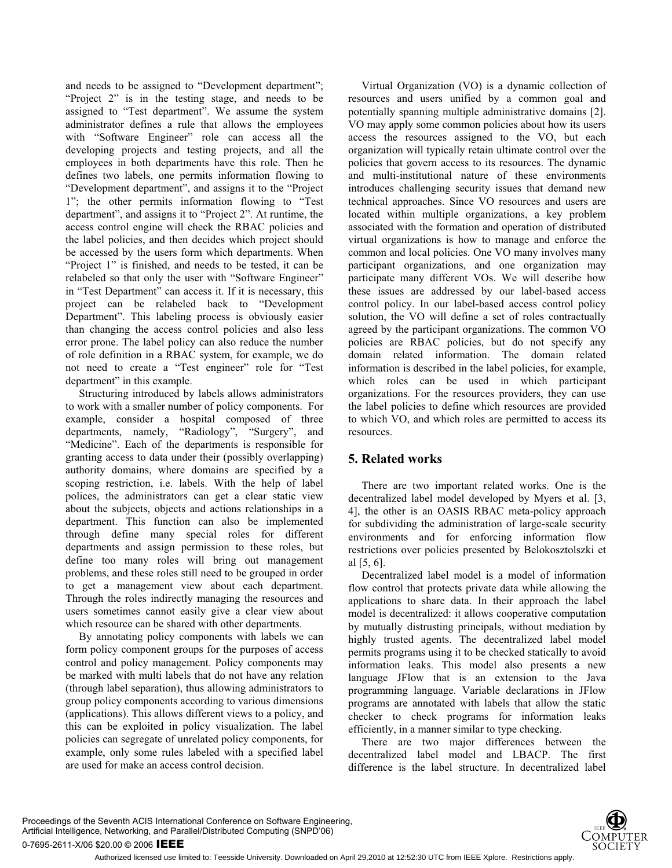and needs to be assigned to "Development department"; "Project 2" is in the testing stage, and needs to be assigned to "Test department". We assume the system administrator defines a rule that allows the employees with "Software Engineer" role can access all the developing projects and testing projects, and all the employees in both departments have this role. Then he defines two labels, one permits information flowing to "Development department", and assigns it to the "Project 1"; the other permits information flowing to "Test department", and assigns it to "Project 2". At runtime, the access control engine will check the RBAC policies and the label policies, and then decides which project should be accessed by the users form which departments. When "Project 1" is finished, and needs to be tested, it can be relabeled so that only the user with "Software Engineer" in "Test Department" can access it. If it is necessary, this project can be relabeled back to "Development Department". This labeling process is obviously easier than changing the access control policies and also less error prone. The label policy can also reduce the number of role definition in a RBAC system, for example, we do not need to create a "Test engineer" role for "Test department" in this example.

Structuring introduced by labels allows administrators to work with a smaller number of policy components. For example, consider a hospital composed of three departments, namely, "Radiology", "Surgery", and "Medicine". Each of the departments is responsible for granting access to data under their (possibly overlapping) authority domains, where domains are specified by a scoping restriction, i.e. labels. With the help of label polices, the administrators can get a clear static view about the subjects, objects and actions relationships in a department. This function can also be implemented through define many special roles for different departments and assign permission to these roles, but define too many roles will bring out management problems, and these roles still need to be grouped in order to get a management view about each department. Through the roles indirectly managing the resources and users sometimes cannot easily give a clear view about which resource can be shared with other departments.

By annotating policy components with labels we can form policy component groups for the purposes of access control and policy management. Policy components may be marked with multi labels that do not have any relation (through label separation), thus allowing administrators to group policy components according to various dimensions (applications). This allows different views to a policy, and this can be exploited in policy visualization. The label policies can segregate of unrelated policy components, for example, only some rules labeled with a specified label are used for make an access control decision.

Virtual Organization (VO) is a dynamic collection of resources and users unified by a common goal and potentially spanning multiple administrative domains [2]. VO may apply some common policies about how its users access the resources assigned to the VO, but each organization will typically retain ultimate control over the policies that govern access to its resources. The dynamic and multi-institutional nature of these environments introduces challenging security issues that demand new technical approaches. Since VO resources and users are located within multiple organizations, a key problem associated with the formation and operation of distributed virtual organizations is how to manage and enforce the common and local policies. One VO many involves many participant organizations, and one organization may participate many different VOs. We will describe how these issues are addressed by our label-based access control policy. In our label-based access control policy solution, the VO will define a set of roles contractually agreed by the participant organizations. The common VO policies are RBAC policies, but do not specify any domain related information. The domain related information is described in the label policies, for example, which roles can be used in which participant organizations. For the resources providers, they can use the label policies to define which resources are provided to which VO, and which roles are permitted to access its resources.

# **5. Related works**

There are two important related works. One is the decentralized label model developed by Myers et al. [3, 4], the other is an OASIS RBAC meta-policy approach for subdividing the administration of large-scale security environments and for enforcing information flow restrictions over policies presented by Belokosztolszki et al [5, 6].

Decentralized label model is a model of information flow control that protects private data while allowing the applications to share data. In their approach the label model is decentralized: it allows cooperative computation by mutually distrusting principals, without mediation by highly trusted agents. The decentralized label model permits programs using it to be checked statically to avoid information leaks. This model also presents a new language JFlow that is an extension to the Java programming language. Variable declarations in JFlow programs are annotated with labels that allow the static checker to check programs for information leaks efficiently, in a manner similar to type checking.

There are two major differences between the decentralized label model and LBACP. The first difference is the label structure. In decentralized label



0-7695-2611-X/06 \$20.00 © 2006 IEEE